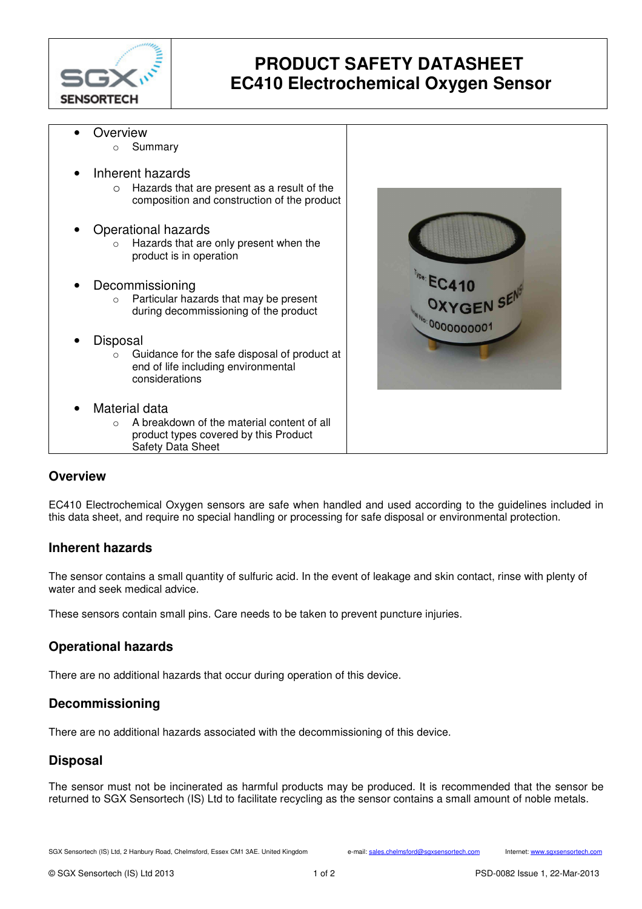

# **PRODUCT SAFETY DATASHEET EC410 Electrochemical Oxygen Sensor**

- **Overview** o Summary
- Inherent hazards
	- o Hazards that are present as a result of the composition and construction of the product
- Operational hazards
	- o Hazards that are only present when the product is in operation
- **Decommissioning** 
	- o Particular hazards that may be present during decommissioning of the product
- Disposal
	- $\circ$  Guidance for the safe disposal of product at end of life including environmental considerations
- Material data
	- o A breakdown of the material content of all product types covered by this Product Safety Data Sheet



## **Overview**

EC410 Electrochemical Oxygen sensors are safe when handled and used according to the guidelines included in this data sheet, and require no special handling or processing for safe disposal or environmental protection.

#### **Inherent hazards**

The sensor contains a small quantity of sulfuric acid. In the event of leakage and skin contact, rinse with plenty of water and seek medical advice.

These sensors contain small pins. Care needs to be taken to prevent puncture injuries.

## **Operational hazards**

There are no additional hazards that occur during operation of this device.

## **Decommissioning**

There are no additional hazards associated with the decommissioning of this device.

#### **Disposal**

The sensor must not be incinerated as harmful products may be produced. It is recommended that the sensor be returned to SGX Sensortech (IS) Ltd to facilitate recycling as the sensor contains a small amount of noble metals.